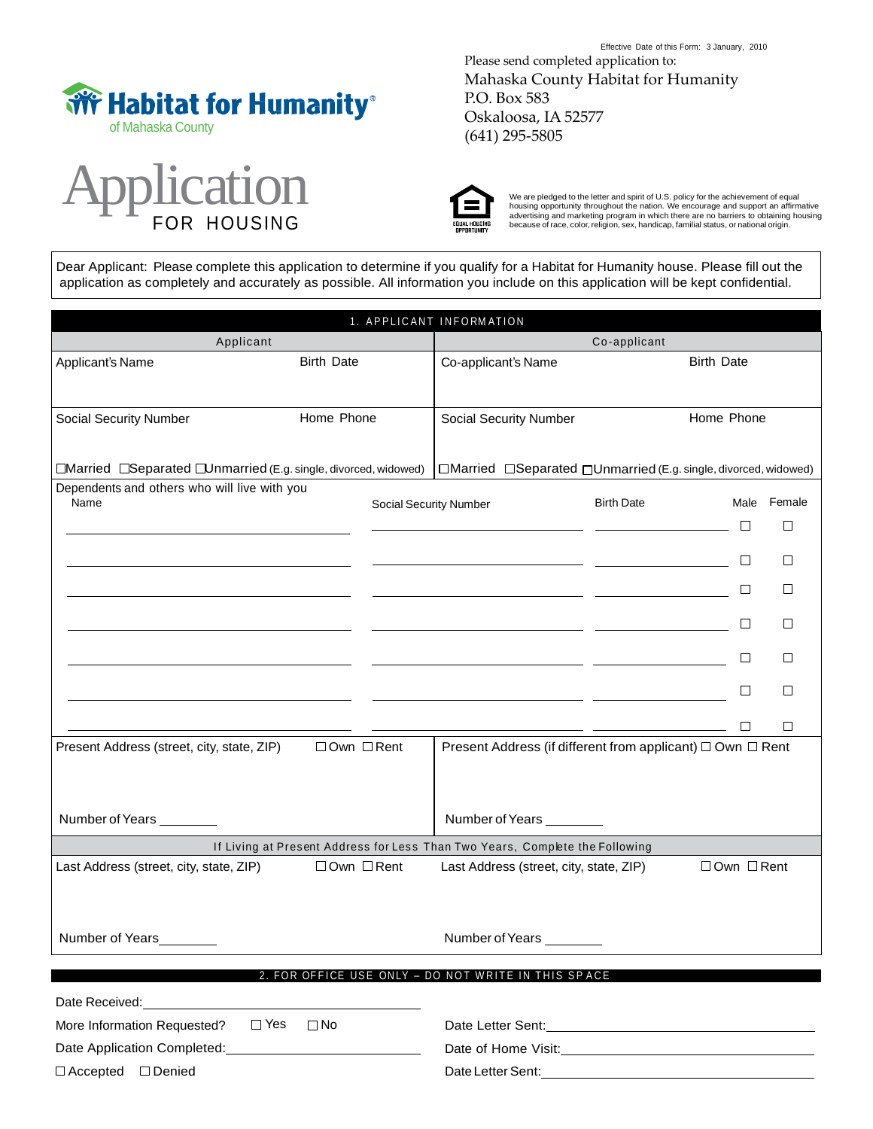



Effective Date of this Form: 3 January, 2010 Please send completed application to: Mahaska County Habitat for Humanity P.O. Box 583 Oskaloosa, IA 52577 (641) 295-5805



We are pledged to the letter and spirit of U.S. policy for the achievement of equal<br>housing opportunity throughout the nation. We encourage and support an affirmative<br>advertising and marketing program in which there are no

Dear Applicant: Please complete this application to determine if you qualify for a Habitat for Humanity house. Please fill out the application as completely and accurately as possible. All information you include on this application will be kept confidential.

| 1. APPLICANT INFORMATION                                                                                                                                                                                                       |                               |                                                                                                                      |                                                                                                                       |                        |        |  |
|--------------------------------------------------------------------------------------------------------------------------------------------------------------------------------------------------------------------------------|-------------------------------|----------------------------------------------------------------------------------------------------------------------|-----------------------------------------------------------------------------------------------------------------------|------------------------|--------|--|
| Applicant                                                                                                                                                                                                                      |                               | Co-applicant                                                                                                         |                                                                                                                       |                        |        |  |
| Applicant's Name                                                                                                                                                                                                               | <b>Birth Date</b>             | Co-applicant's Name                                                                                                  | <b>Birth Date</b>                                                                                                     |                        |        |  |
| Social Security Number                                                                                                                                                                                                         | Home Phone                    | Social Security Number                                                                                               |                                                                                                                       | Home Phone             |        |  |
| □Married □Separated □Unmarried (E.g. single, divorced, widowed)                                                                                                                                                                |                               | □Married □Separated □Unmarried (E.g. single, divorced, widowed)                                                      |                                                                                                                       |                        |        |  |
| Dependents and others who will live with you                                                                                                                                                                                   |                               |                                                                                                                      |                                                                                                                       |                        |        |  |
| Name                                                                                                                                                                                                                           | <b>Social Security Number</b> |                                                                                                                      | <b>Birth Date</b>                                                                                                     | Male                   | Female |  |
|                                                                                                                                                                                                                                |                               |                                                                                                                      | <u> 1989 - Johann John Stone, mars eta biztanleria (h. 1989).</u>                                                     |                        | ⊔      |  |
|                                                                                                                                                                                                                                |                               |                                                                                                                      |                                                                                                                       |                        | □      |  |
|                                                                                                                                                                                                                                |                               |                                                                                                                      | <u> 1989 - Johann Harry Harry Harry Harry Harry Harry Harry Harry Harry Harry Harry Harry Harry Harry Harry Harry</u> | ப                      | □      |  |
|                                                                                                                                                                                                                                |                               |                                                                                                                      | <u> 1989 - Johann Harry Barn, mars and de Branch and de Branch and de Branch and de Branch and de Branch and de B</u> | ப                      | □      |  |
|                                                                                                                                                                                                                                |                               |                                                                                                                      |                                                                                                                       |                        | □      |  |
|                                                                                                                                                                                                                                |                               | <u> 1989 - Johann Harry Harry Barn, mars and de la partie de la partie de la partie de la partie de la partie de</u> |                                                                                                                       | ப                      | □      |  |
|                                                                                                                                                                                                                                |                               |                                                                                                                      | <u> 1980 - Johann John Stone, markin film yn y brenin y brenin y brenin y brenin y brenin y brenin y brenin y br</u>  | ⊔                      | П      |  |
| Present Address (street, city, state, ZIP)                                                                                                                                                                                     | $\Box$ Own $\Box$ Rent        | Present Address (if different from applicant) □ Own □ Rent                                                           |                                                                                                                       |                        |        |  |
| Number of Years ________                                                                                                                                                                                                       |                               | Number of Years                                                                                                      |                                                                                                                       |                        |        |  |
|                                                                                                                                                                                                                                |                               | If Living at Present Address for Less Than Two Years, Complete the Following                                         |                                                                                                                       |                        |        |  |
| Last Address (street, city, state, ZIP)                                                                                                                                                                                        | □Own □ Rent                   | Last Address (street, city, state, ZIP)                                                                              |                                                                                                                       | $\Box$ Own $\Box$ Rent |        |  |
| Number of Years                                                                                                                                                                                                                |                               | Number of Years ________                                                                                             |                                                                                                                       |                        |        |  |
|                                                                                                                                                                                                                                |                               | 2. FOR OFFICE USE ONLY - DO NOT WRITE IN THIS SPACE                                                                  |                                                                                                                       |                        |        |  |
| Date Received: Note that the state of the state of the state of the state of the state of the state of the state of the state of the state of the state of the state of the state of the state of the state of the state of th |                               |                                                                                                                      |                                                                                                                       |                        |        |  |
| $\Box$ Yes<br>More Information Requested?                                                                                                                                                                                      | $\Box$ No                     |                                                                                                                      |                                                                                                                       |                        |        |  |
|                                                                                                                                                                                                                                |                               | Date of Home Visit: Manual Assembly Date of Home Visit:                                                              |                                                                                                                       |                        |        |  |
| $\Box$ Accepted $\Box$ Denied                                                                                                                                                                                                  |                               |                                                                                                                      |                                                                                                                       |                        |        |  |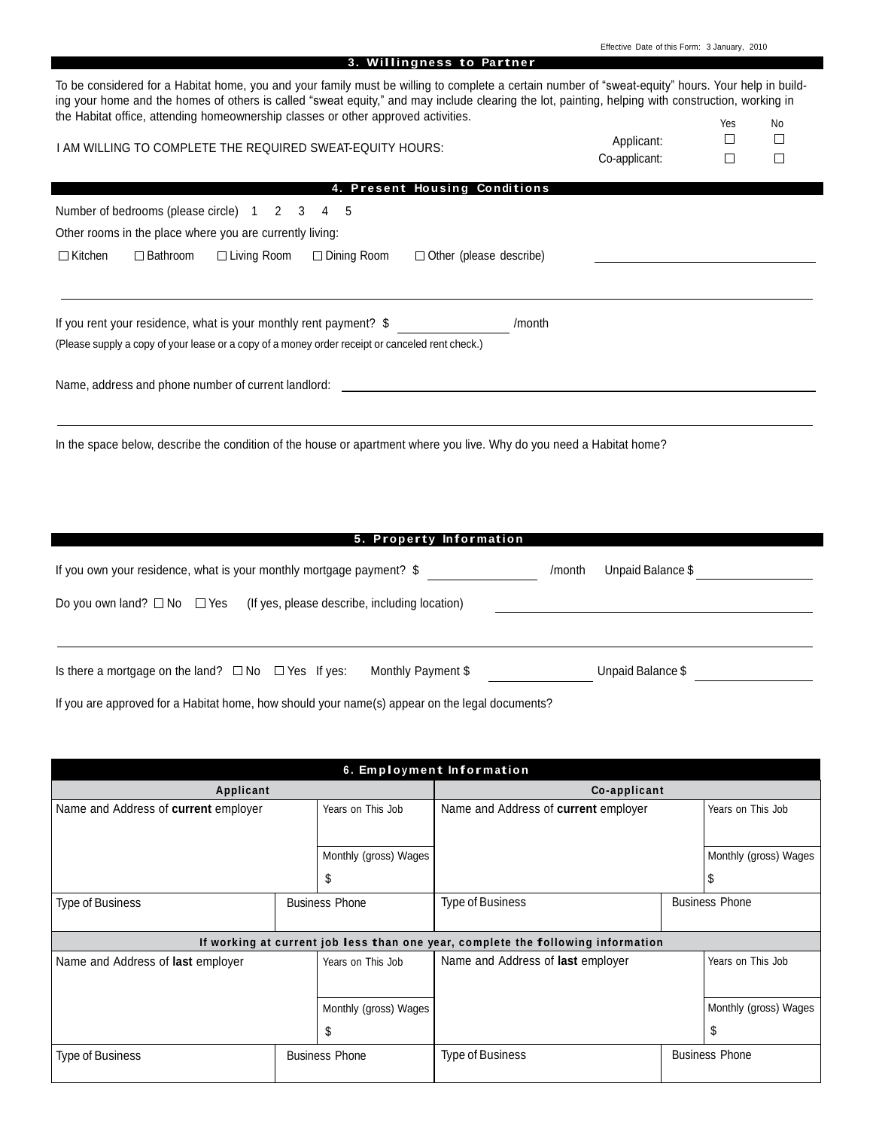| 3. Willingness to Partner                                                                                                                                                                                                                                                                               |                   |        |    |
|---------------------------------------------------------------------------------------------------------------------------------------------------------------------------------------------------------------------------------------------------------------------------------------------------------|-------------------|--------|----|
| To be considered for a Habitat home, you and your family must be willing to complete a certain number of "sweat-equity" hours. Your help in build-<br>ing your home and the homes of others is called "sweat equity," and may include clearing the lot, painting, helping with construction, working in |                   |        |    |
| the Habitat office, attending homeownership classes or other approved activities.                                                                                                                                                                                                                       |                   | Yes    | No |
| I AM WILLING TO COMPLETE THE REQUIRED SWEAT-EQUITY HOURS:                                                                                                                                                                                                                                               | Applicant:        | П      | □  |
|                                                                                                                                                                                                                                                                                                         | Co-applicant:     | $\Box$ | □  |
| <b>Present Housing Conditions</b>                                                                                                                                                                                                                                                                       |                   |        |    |
| Number of bedrooms (please circle) 1<br>2 3<br>4<br>-5                                                                                                                                                                                                                                                  |                   |        |    |
| Other rooms in the place where you are currently living:                                                                                                                                                                                                                                                |                   |        |    |
| $\Box$ Kitchen<br>$\Box$ Bathroom<br>$\Box$ Living Room<br>$\Box$ Dining Room<br>$\Box$ Other (please describe)                                                                                                                                                                                         |                   |        |    |
| If you rent your residence, what is your monthly rent payment? \$<br>/month<br>(Please supply a copy of your lease or a copy of a money order receipt or canceled rent check.)                                                                                                                          |                   |        |    |
| Name, address and phone number of current landlord:<br>In the space below, describe the condition of the house or apartment where you live. Why do you need a Habitat home?<br>5. Property Information                                                                                                  |                   |        |    |
|                                                                                                                                                                                                                                                                                                         |                   |        |    |
| If you own your residence, what is your monthly mortgage payment? \$<br>/month                                                                                                                                                                                                                          | Unpaid Balance \$ |        |    |

Effective Date of this Form: 3 January, 2010

Is there a mortgage on the land? No Yes If yes: Monthly Payment \$ Unpaid Balance \$

If you are approved for a Habitat home, how should your name(s) appear on the legal documents?

Do you own land?  $\square$  No  $\square$  Yes (If yes, please describe, including location)

| 6. Employment Information                        |  |                                           |                                                                                  |                       |                       |
|--------------------------------------------------|--|-------------------------------------------|----------------------------------------------------------------------------------|-----------------------|-----------------------|
| Applicant                                        |  |                                           | Co-applicant                                                                     |                       |                       |
| Name and Address of current employer             |  | Years on This Job                         | Name and Address of current employer                                             |                       | Years on This Job     |
|                                                  |  |                                           |                                                                                  |                       |                       |
|                                                  |  | Monthly (gross) Wages                     |                                                                                  |                       | Monthly (gross) Wages |
|                                                  |  | \$                                        |                                                                                  |                       | ა                     |
| <b>Type of Business</b><br><b>Business Phone</b> |  | <b>Business Phone</b><br>Type of Business |                                                                                  |                       |                       |
|                                                  |  |                                           |                                                                                  |                       |                       |
|                                                  |  |                                           | If working at current job less than one year, complete the following information |                       |                       |
| Name and Address of <b>last</b> employer         |  | Years on This Job                         | Name and Address of <b>last</b> employer                                         |                       | Years on This Job     |
|                                                  |  |                                           |                                                                                  |                       |                       |
|                                                  |  | Monthly (gross) Wages                     |                                                                                  |                       | Monthly (gross) Wages |
|                                                  |  | \$                                        |                                                                                  |                       | \$                    |
| <b>Type of Business</b><br><b>Business Phone</b> |  | Type of Business                          |                                                                                  | <b>Business Phone</b> |                       |
|                                                  |  |                                           |                                                                                  |                       |                       |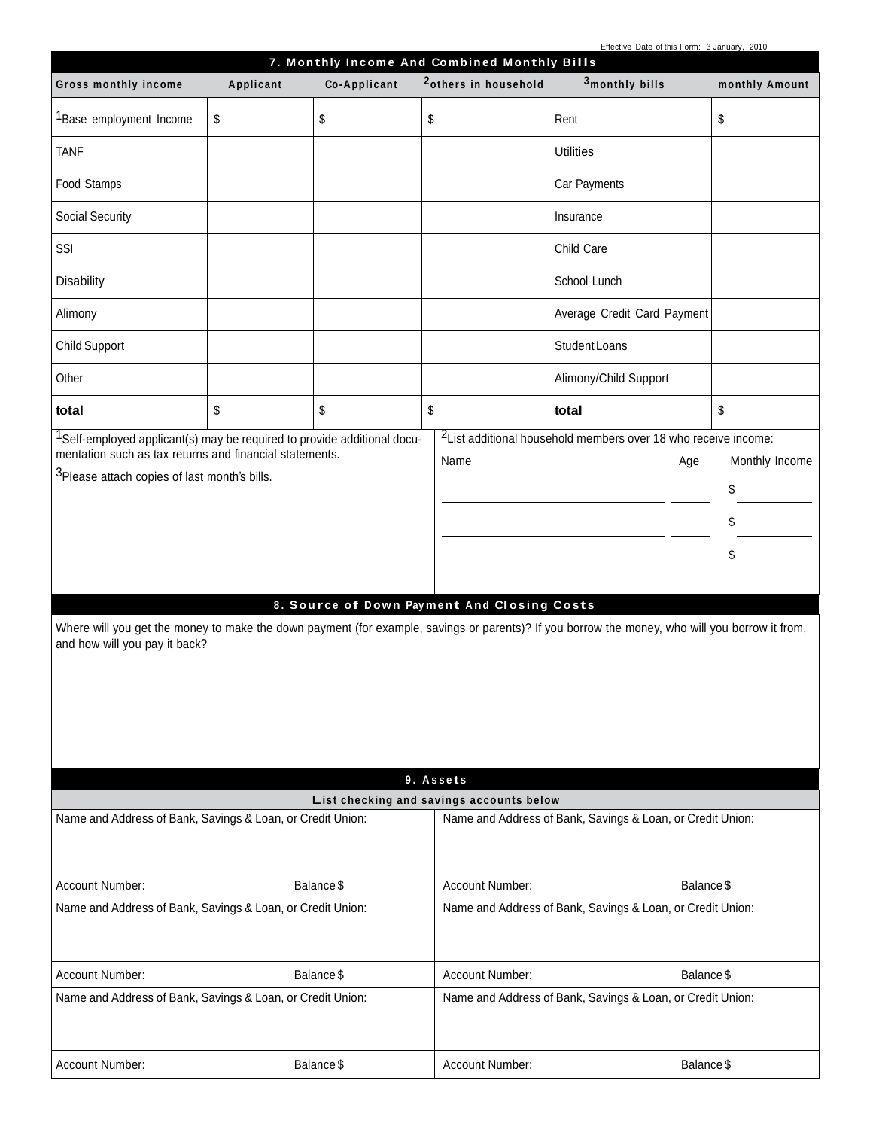|  |  | Effective Date of this Form: 3 January, 2010 |  |
|--|--|----------------------------------------------|--|

| Ellective Date of this Form. 3 January, 2010<br>7. Monthly Income And Combined Monthly Bills                                                                                                                                                |           |              |                                                            |                                                                                                                                                                                                                                     |                                  |
|---------------------------------------------------------------------------------------------------------------------------------------------------------------------------------------------------------------------------------------------|-----------|--------------|------------------------------------------------------------|-------------------------------------------------------------------------------------------------------------------------------------------------------------------------------------------------------------------------------------|----------------------------------|
| Gross monthly income                                                                                                                                                                                                                        | Applicant | Co-Applicant | <sup>2</sup> others in household                           | 3monthly bills                                                                                                                                                                                                                      | monthly Amount                   |
| <sup>1</sup> Base employment Income                                                                                                                                                                                                         | \$        | \$           | \$                                                         | Rent                                                                                                                                                                                                                                | \$                               |
| <b>TANF</b>                                                                                                                                                                                                                                 |           |              |                                                            | <b>Utilities</b>                                                                                                                                                                                                                    |                                  |
| Food Stamps                                                                                                                                                                                                                                 |           |              |                                                            | Car Payments                                                                                                                                                                                                                        |                                  |
| Social Security                                                                                                                                                                                                                             |           |              |                                                            | Insurance                                                                                                                                                                                                                           |                                  |
| SSI                                                                                                                                                                                                                                         |           |              |                                                            | Child Care                                                                                                                                                                                                                          |                                  |
| <b>Disability</b>                                                                                                                                                                                                                           |           |              |                                                            | School Lunch                                                                                                                                                                                                                        |                                  |
| Alimony                                                                                                                                                                                                                                     |           |              |                                                            | Average Credit Card Payment                                                                                                                                                                                                         |                                  |
| <b>Child Support</b>                                                                                                                                                                                                                        |           |              |                                                            | Student Loans                                                                                                                                                                                                                       |                                  |
| Other                                                                                                                                                                                                                                       |           |              |                                                            | Alimony/Child Support                                                                                                                                                                                                               |                                  |
| total                                                                                                                                                                                                                                       | \$        | \$           | \$                                                         | total                                                                                                                                                                                                                               | \$                               |
| <sup>1</sup> Self-employed applicant(s) may be required to provide additional docu-<br>mentation such as tax returns and financial statements.<br><sup>3</sup> Please attach copies of last month's bills.<br>and how will you pay it back? |           |              | Name<br>8. Source of Down Payment And Closing Costs        | <sup>2</sup> List additional household members over 18 who receive income:<br>Age<br>Where will you get the money to make the down payment (for example, savings or parents)? If you borrow the money, who will you borrow it from, | Monthly Income<br>\$<br>\$<br>\$ |
|                                                                                                                                                                                                                                             |           |              | 9. Assets                                                  |                                                                                                                                                                                                                                     |                                  |
| Name and Address of Bank, Savings & Loan, or Credit Union:                                                                                                                                                                                  |           |              | List checking and savings accounts below                   |                                                                                                                                                                                                                                     |                                  |
|                                                                                                                                                                                                                                             |           |              |                                                            | Name and Address of Bank, Savings & Loan, or Credit Union:                                                                                                                                                                          |                                  |
| Account Number:                                                                                                                                                                                                                             |           | Balance \$   | Account Number:                                            | Balance \$                                                                                                                                                                                                                          |                                  |
| Name and Address of Bank, Savings & Loan, or Credit Union:                                                                                                                                                                                  |           |              |                                                            | Name and Address of Bank, Savings & Loan, or Credit Union:                                                                                                                                                                          |                                  |
| Account Number:                                                                                                                                                                                                                             |           | Balance \$   | Account Number:                                            | Balance \$                                                                                                                                                                                                                          |                                  |
| Name and Address of Bank, Savings & Loan, or Credit Union:                                                                                                                                                                                  |           |              | Name and Address of Bank, Savings & Loan, or Credit Union: |                                                                                                                                                                                                                                     |                                  |
| Account Number:                                                                                                                                                                                                                             |           | Balance \$   | Account Number:                                            | Balance \$                                                                                                                                                                                                                          |                                  |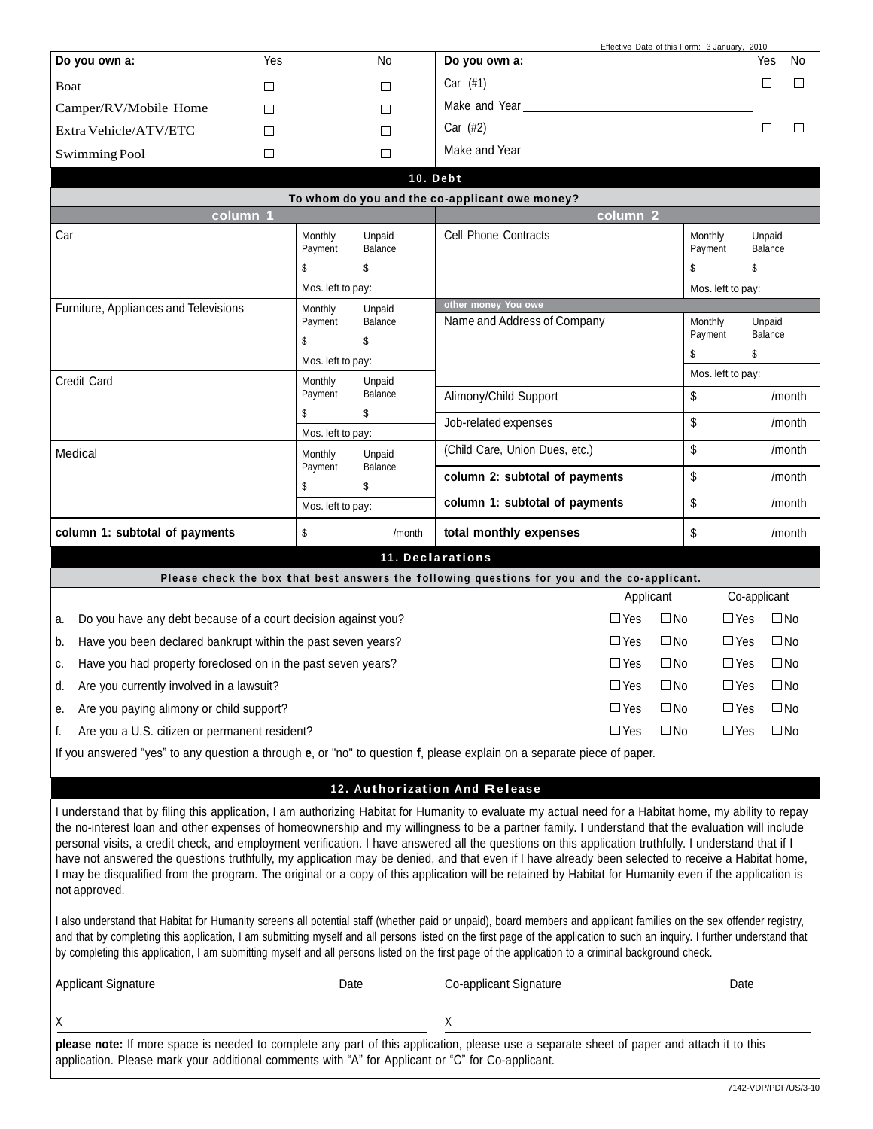| Do you own a:         | Yes | No | Do you own a: | Yes | <b>No</b> |
|-----------------------|-----|----|---------------|-----|-----------|
| Boat                  |     |    | (#1)<br>Car   |     |           |
| Camper/RV/Mobile Home |     |    | Make and Year |     |           |
| Extra Vehicle/ATV/ETC |     | ⊏  | Car $(H2)$    |     |           |
| Swimming Pool         |     |    | Make and Year |     |           |

Effective Date of this Form: 3 January, 2010

|                                       |                          |                         | 10. Debt                                                                                     |                          |                         |
|---------------------------------------|--------------------------|-------------------------|----------------------------------------------------------------------------------------------|--------------------------|-------------------------|
|                                       |                          |                         | To whom do you and the co-applicant owe money?                                               |                          |                         |
| column 1                              |                          |                         | column <sub>2</sub>                                                                          |                          |                         |
| Car                                   | Monthly<br>Payment<br>\$ | Unpaid<br>Balance<br>\$ | <b>Cell Phone Contracts</b>                                                                  | Monthly<br>Payment<br>\$ | Unpaid<br>Balance<br>\$ |
|                                       | Mos. left to pay:        |                         |                                                                                              | Mos. left to pay:        |                         |
| Furniture, Appliances and Televisions | Monthly                  | Unpaid                  | other money You owe                                                                          |                          |                         |
|                                       | Payment<br>\$            | Balance<br>\$           | Name and Address of Company                                                                  | Monthly<br>Payment       | Unpaid<br>Balance       |
|                                       | Mos. left to pay:        |                         |                                                                                              | \$                       | \$                      |
| Credit Card<br>Monthly<br>Unpaid      |                          | Mos. left to pay:       |                                                                                              |                          |                         |
|                                       | Payment<br>\$            | Balance<br>\$           | Alimony/Child Support                                                                        | \$                       | /month                  |
|                                       | Mos. left to pay:        |                         | Job-related expenses                                                                         | \$                       | /month                  |
| Medical                               | Monthly<br>Payment       | Unpaid<br>Balance       | (Child Care, Union Dues, etc.)                                                               | \$                       | /month                  |
|                                       | \$                       | \$                      | column 2: subtotal of payments                                                               | \$                       | /month                  |
|                                       | Mos. left to pay:        |                         | column 1: subtotal of payments                                                               | \$                       | /month                  |
| column 1: subtotal of payments        | \$                       | /month                  | total monthly expenses                                                                       | \$                       | /month                  |
|                                       |                          |                         | 11. Declarations                                                                             |                          |                         |
|                                       |                          |                         | Please check the box that best answers the following questions for you and the co-applicant. |                          |                         |
|                                       |                          |                         | Annlicant                                                                                    |                          | Co-annlicant            |

|                                                                  | Applicant     |              | Co-applicant  |              |
|------------------------------------------------------------------|---------------|--------------|---------------|--------------|
| a. Do you have any debt because of a court decision against you? | $\square$ Yes | $\square$ No | $\square$ Yes | $\square$ No |
| b. Have you been declared bankrupt within the past seven years?  | $\square$ Yes | $\square$ No | $\Box$ Yes    | $\square$ No |
| c. Have you had property foreclosed on in the past seven years?  | $\Box$ Yes    | $\square$ No | □ Yes         | $\square$ No |
| d. Are you currently involved in a lawsuit?                      | $\Box$ Yes    | $\square$ No | $\Box$ Yes    | $\square$ No |
| e. Are you paying alimony or child support?                      | $\Box$ Yes    | $\square$ No | $\Box$ Yes    | $\square$ No |
| Are you a U.S. citizen or permanent resident?                    | ∩ Yes         | $\Box$ No    | $\Box$ Yes    | $\Box$ No    |

If you answered "yes" to any question **a** through **e**, or "no" to question **f**, please explain on a separate piece of paper.

## **<sup>12</sup> . Authori z ation And Re lease**

I understand that by filing this application, I am authorizing Habitat for Humanity to evaluate my actual need for a Habitat home, my ability to repay the no-interest loan and other expenses of homeownership and my willingness to be a partner family. I understand that the evaluation will include personal visits, a credit check, and employment verification. I have answered all the questions on this application truthfully. I understand that if I have not answered the questions truthfully, my application may be denied, and that even if I have already been selected to receive a Habitat home, I may be disqualified from the program. The original or a copy of this application will be retained by Habitat for Humanity even if the application is not approved.

I also understand that Habitat for Humanity screens all potential staff (whether paid or unpaid), board members and applicant families on the sex offender registry, and that by completing this application, I am submitting myself and all persons listed on the first page of the application to such an inquiry. I further understand that by completing this application, I am submitting myself and all persons listed on the first page of the application to a criminal background check.

| <b>Applicant Signature</b>                                                                                                                | Date | Co-applicant Signature | Date |  |  |
|-------------------------------------------------------------------------------------------------------------------------------------------|------|------------------------|------|--|--|
|                                                                                                                                           |      |                        |      |  |  |
|                                                                                                                                           |      |                        |      |  |  |
| please note: If more space is needed to complete any part of this application, please use a separate sheet of paper and attach it to this |      |                        |      |  |  |
| application. Please mark your additional comments with "A" for Applicant or "C" for Co-applicant.                                         |      |                        |      |  |  |